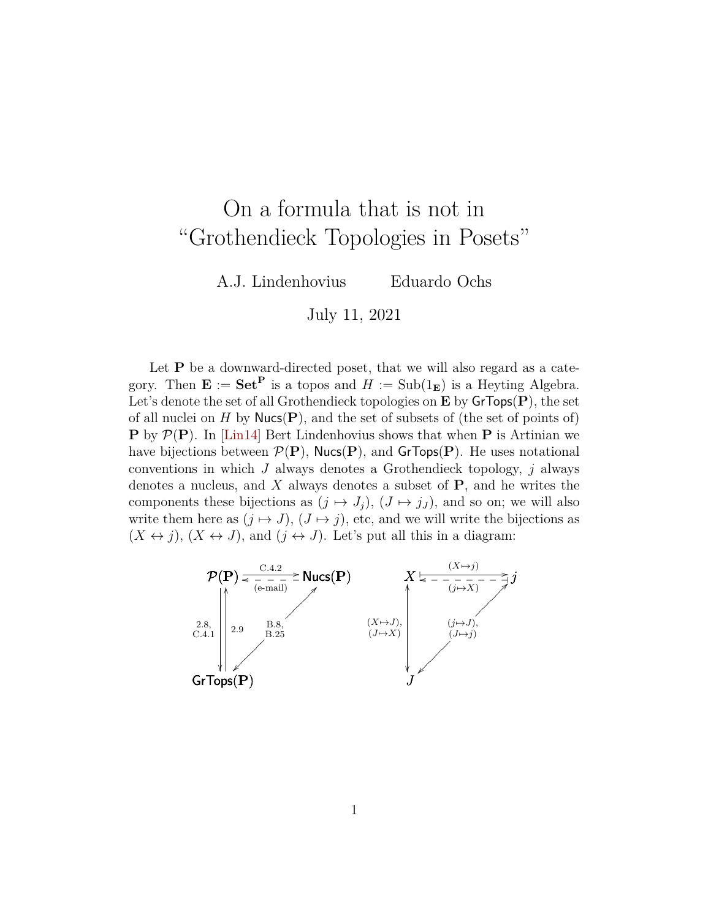## On a formula that is not in "Grothendieck Topologies in Posets"

A.J. Lindenhovius Eduardo Ochs

July 11, 2021

Let  $\mathbf P$  be a downward-directed poset, that we will also regard as a category. Then  $\mathbf{E} := \mathbf{Set}^{\mathbf{P}}$  is a topos and  $H := \text{Sub}(1_{\mathbf{E}})$  is a Heyting Algebra. Let's denote the set of all Grothendieck topologies on  $E$  by  $GrTops(P)$ , the set of all nuclei on H by  $Nucc(P)$ , and the set of subsets of (the set of points of) **P** by  $\mathcal{P}(\mathbf{P})$ . In [\[Lin14\]](#page-3-0) Bert Lindenhovius shows that when **P** is Artinian we have bijections between  $\mathcal{P}(\mathbf{P})$ , Nucs(P), and GrTops(P). He uses notational conventions in which  $J$  always denotes a Grothendieck topology,  $j$  always denotes a nucleus, and  $X$  always denotes a subset of  $P$ , and he writes the components these bijections as  $(j \mapsto J_j)$ ,  $(J \mapsto j_J)$ , and so on; we will also write them here as  $(j \mapsto J)$ ,  $(J \mapsto j)$ , etc, and we will write the bijections as  $(X \leftrightarrow j)$ ,  $(X \leftrightarrow J)$ , and  $(j \leftrightarrow J)$ . Let's put all this in a diagram:

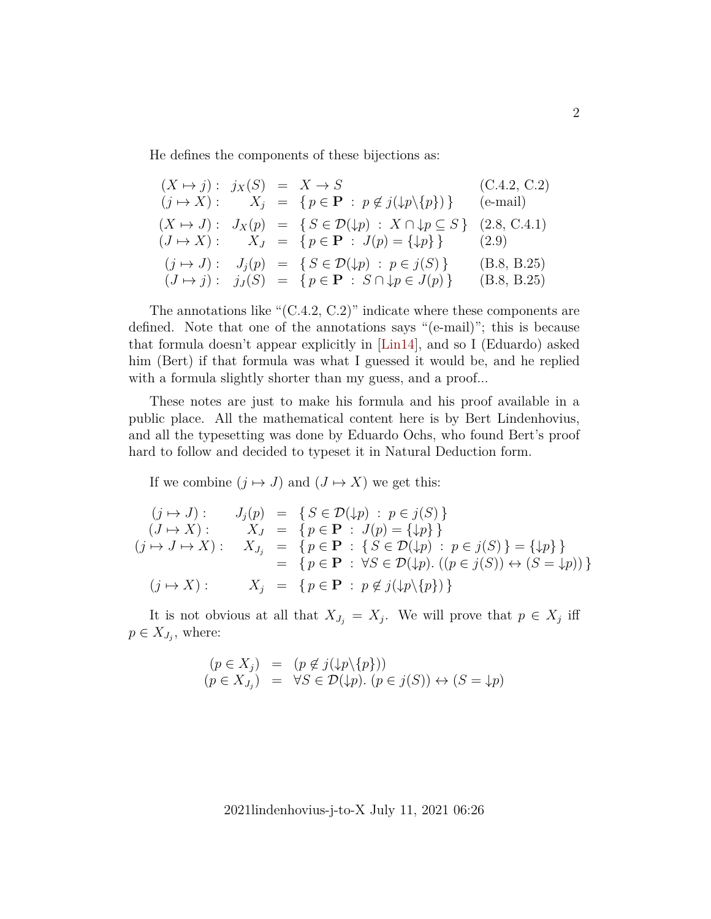He defines the components of these bijections as:

$$
(X \mapsto j): j_X(S) = X \mapsto S \qquad (C.4.2, C.2)
$$
  
\n
$$
(j \mapsto X): X_j = \{p \in \mathbf{P} : p \notin j(\downarrow p \setminus \{p\})\} \qquad (e-\text{mail})
$$
  
\n
$$
(X \mapsto J): J_X(p) = \{S \in \mathcal{D}(\downarrow p) : X \cap \downarrow p \subseteq S\} \qquad (2.8, C.4.1)
$$
  
\n
$$
(J \mapsto X): X_J = \{p \in \mathbf{P} : J(p) = \{\downarrow p\}\} \qquad (2.9)
$$
  
\n
$$
(j \mapsto J): J_j(p) = \{S \in \mathcal{D}(\downarrow p) : p \in j(S)\} \qquad (B.8, B.25)
$$
  
\n
$$
(J \mapsto j): j_J(S) = \{p \in \mathbf{P} : S \cap \downarrow p \in J(p)\} \qquad (B.8, B.25)
$$

The annotations like " $(C.4.2, C.2)$ " indicate where these components are defined. Note that one of the annotations says "(e-mail)"; this is because that formula doesn't appear explicitly in [\[Lin14\]](#page-3-0), and so I (Eduardo) asked him (Bert) if that formula was what I guessed it would be, and he replied with a formula slightly shorter than my guess, and a proof...

These notes are just to make his formula and his proof available in a public place. All the mathematical content here is by Bert Lindenhovius, and all the typesetting was done by Eduardo Ochs, who found Bert's proof hard to follow and decided to typeset it in Natural Deduction form.

If we combine  $(j \mapsto J)$  and  $(J \mapsto X)$  we get this:

$$
(j \mapsto J) : J_j(p) = \{ S \in \mathcal{D}(\downarrow p) : p \in j(S) \}
$$
  
\n
$$
(J \mapsto X) : X_J = \{ p \in \mathbf{P} : J(p) = \{ \downarrow p \} \}
$$
  
\n
$$
(j \mapsto J \mapsto X) : X_{J_j} = \{ p \in \mathbf{P} : \{ S \in \mathcal{D}(\downarrow p) : p \in j(S) \} = \{ \downarrow p \} \}
$$
  
\n
$$
= \{ p \in \mathbf{P} : \forall S \in \mathcal{D}(\downarrow p). ((p \in j(S)) \leftrightarrow (S = \downarrow p)) \}
$$
  
\n
$$
(j \mapsto X) : X_j = \{ p \in \mathbf{P} : p \notin j(\downarrow p \setminus \{ p \}) \}
$$

It is not obvious at all that  $X_{J_j} = X_j$ . We will prove that  $p \in X_j$  iff  $p \in X_{J_j}$ , where:

$$
(p \in X_j) = (p \notin j(\downarrow p \setminus \{p\}))
$$
  
\n
$$
(p \in X_{J_j}) = \forall S \in \mathcal{D}(\downarrow p). (p \in j(S)) \leftrightarrow (S = \downarrow p)
$$

2021lindenhovius-j-to-X July 11, 2021 06:26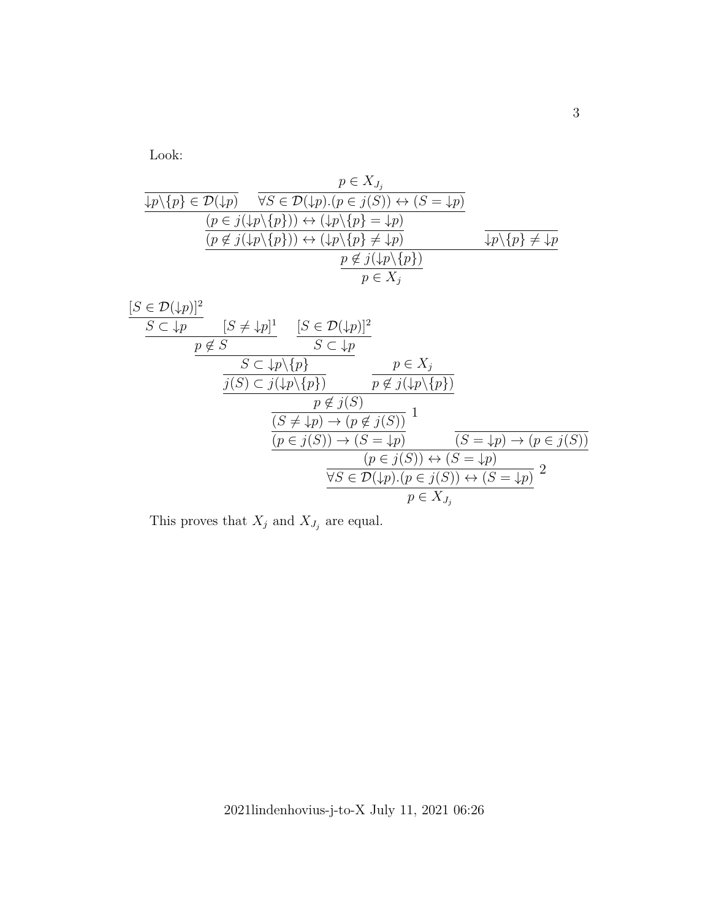Look:

$$
\frac{p \in X_{J_j}}{\frac{\downarrow p \setminus \{p\} \in \mathcal{D}(\downarrow p)}{\frac{(p \in j(\downarrow p \setminus \{p\})) \leftrightarrow (\downarrow p \setminus \{p\} = \downarrow p)}{\frac{(p \notin j(\downarrow p \setminus \{p\})) \leftrightarrow (\downarrow p \setminus \{p\} = \downarrow p)}{\frac{(p \notin j(\downarrow p \setminus \{p\})) \leftrightarrow (\downarrow p \setminus \{p\} \neq \downarrow p)}{\frac{p \notin j(\downarrow p \setminus \{p\})}{p \in X_j}}}
$$

$$
\frac{[S \in \mathcal{D}(\downarrow p)]^2}{\mathcal{S} \subset \downarrow p} \quad [S \neq \downarrow p]^1 \quad \frac{[S \in \mathcal{D}(\downarrow p)]^2}{S \subset \downarrow p}
$$
\n
$$
\frac{p \notin S}{\mathcal{S} \subset \downarrow p \setminus \{p\}} \quad p \in X_j
$$
\n
$$
\frac{S \subset \downarrow p \setminus \{p\}}{p \notin j(S)}
$$
\n
$$
\frac{p \notin j(S)}{(S \neq \downarrow p) \to (p \neq j(S))} \frac{1}{(S = \downarrow p) \to (p \in j(S))}
$$
\n
$$
\frac{(p \in j(S)) \to (S = \downarrow p)}{(p \in j(S)) \to (S = \downarrow p)} \quad \frac{(S = \downarrow p) \to (p \in j(S))}{(S = \downarrow p) \to (p \in j(S))}
$$
\n
$$
\frac{\forall S \in \mathcal{D}(\downarrow p) \cdot (p \in j(S)) \leftrightarrow (S = \downarrow p)}{p \in X_{J_j}} \quad 2
$$

This proves that  $X_j$  and  $X_{J_j}$  are equal.